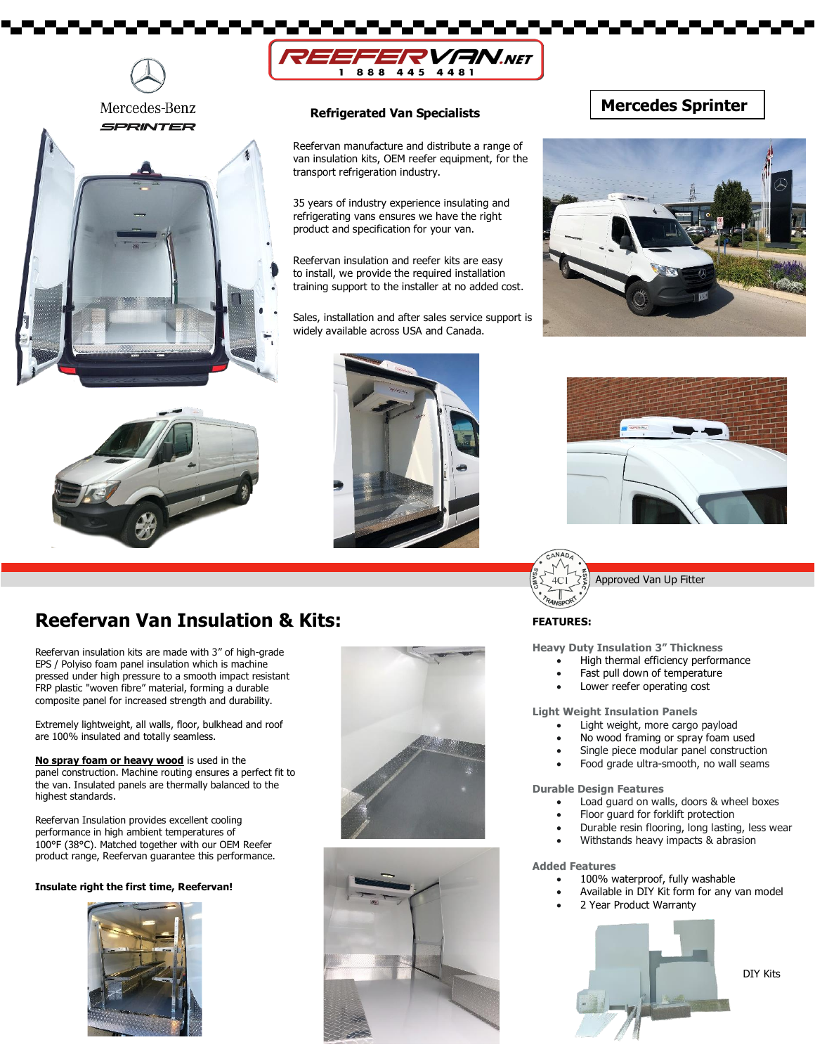



#### **Refrigerated Van Specialists**

Reefervan manufacture and distribute a range of van insulation kits, OEM reefer equipment, for the transport refrigeration industry.

35 years of industry experience insulating and refrigerating vans ensures we have the right product and specification for your van.

Reefervan insulation and reefer kits are easy to install, we provide the required installation training support to the installer at no added cost.

Sales, installation and after sales service support is widely available across USA and Canada.

### **Mercedes Sprinter**











## **Reefervan Van Insulation & Kits: FEATURES:** FEATURES:

Reefervan insulation kits are made with 3" of high-grade EPS / Polyiso foam panel insulation which is machine pressed under high pressure to a smooth impact resistant FRP plastic "woven fibre" material, forming a durable composite panel for increased strength and durability.

Extremely lightweight, all walls, floor, bulkhead and roof are 100% insulated and totally seamless.

**No spray foam or heavy wood** is used in the panel construction. Machine routing ensures a perfect fit to the van. Insulated panels are thermally balanced to the highest standards.

Reefervan Insulation provides excellent cooling performance in high ambient temperatures of 100°F (38°C). Matched together with our OEM Reefer product range, Reefervan guarantee this performance.

#### **Insulate right the first time, Reefervan!**







**Heavy Duty Insulation 3" Thickness**

- High thermal efficiency performance
- Fast pull down of temperature
- Lower reefer operating cost

**Light Weight Insulation Panels**

- Light weight, more cargo payload
- No wood framing or spray foam used
- Single piece modular panel construction
- Food grade ultra-smooth, no wall seams

**Durable Design Features**

- Load guard on walls, doors & wheel boxes
- Floor guard for forklift protection
- Durable resin flooring, long lasting, less wear
- Withstands heavy impacts & abrasion

#### **Added Features**

- 100% waterproof, fully washable
	- Available in DIY Kit form for any van model
- 2 Year Product Warranty



DIY Kits